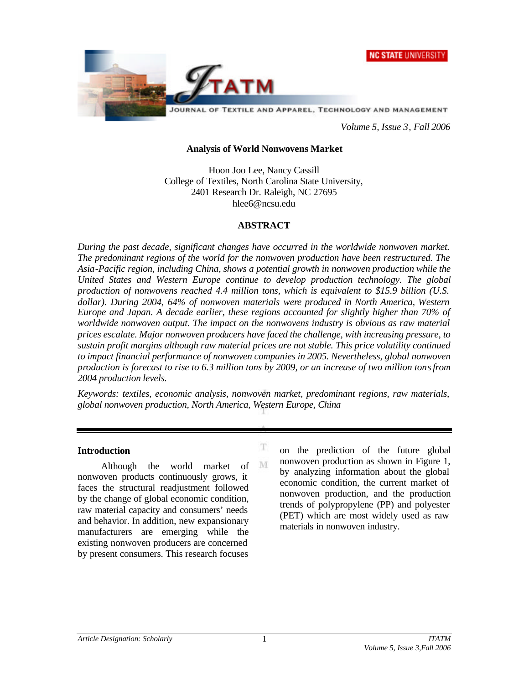



*Volume 5, Issue 3, Fall 2006*

#### **Analysis of World Nonwovens Market**

Hoon Joo Lee, Nancy Cassill College of Textiles, North Carolina State University, 2401 Research Dr. Raleigh, NC 27695 hlee6@ncsu.edu

#### **ABSTRACT**

*During the past decade, significant changes have occurred in the worldwide nonwoven market. The predominant regions of the world for the nonwoven production have been restructured. The Asia-Pacific region, including China, shows a potential growth in nonwoven production while the United States and Western Europe continue to develop production technology. The global production of nonwovens reached 4.4 million tons, which is equivalent to \$15.9 billion (U.S. dollar). During 2004, 64% of nonwoven materials were produced in North America, Western Europe and Japan. A decade earlier, these regions accounted for slightly higher than 70% of worldwide nonwoven output. The impact on the nonwovens industry is obvious as raw material prices escalate. Major nonwoven producers have faced the challenge, with increasing pressure, to sustain profit margins although raw material prices are not stable. This price volatility continued to impact financial performance of nonwoven companies in 2005. Nevertheless, global nonwoven production is forecast to rise to 6.3 million tons by 2009, or an increase of two million tons from 2004 production levels.* 

*Keywords: textiles, economic analysis, nonwoven market, predominant regions, raw materials, global nonwoven production, North America, Western Europe, China*

T

M

#### **Introduction**

Although the world market of nonwoven products continuously grows, it faces the structural readjustment followed by the change of global economic condition, raw material capacity and consumers' needs and behavior. In addition, new expansionary manufacturers are emerging while the existing nonwoven producers are concerned by present consumers. This research focuses

on the prediction of the future global nonwoven production as shown in Figure 1, by analyzing information about the global economic condition, the current market of nonwoven production, and the production trends of polypropylene (PP) and polyester (PET) which are most widely used as raw materials in nonwoven industry.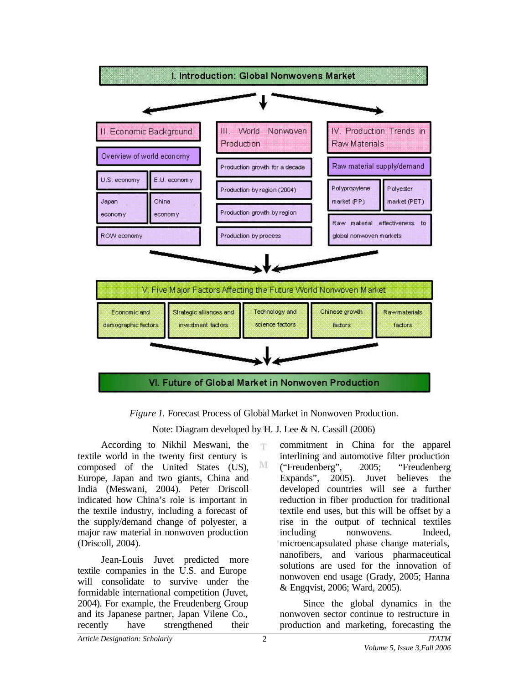

*Figure 1.* Forecast Process of Global Market in Nonwoven Production.

Note: Diagram developed by H. J. Lee & N. Cassill (2006)

According to Nikhil Meswani, the textile world in the twenty first century is composed of the United States (US), Europe, Japan and two giants, China and India (Meswani, 2004). Peter Driscoll indicated how China's role is important in the textile industry, including a forecast of the supply/demand change of polyester, a major raw material in nonwoven production (Driscoll, 2004).

Jean-Louis Juvet predicted more textile companies in the U.S. and Europe will consolidate to survive under the formidable international competition (Juvet, 2004). For example, the Freudenberg Group and its Japanese partner, Japan Vilene Co., recently have strengthened their

commitment in China for the apparel interlining and automotive filter production ("Freudenberg", 2005; "Freudenberg Expands", 2005). Juvet believes the developed countries will see a further reduction in fiber production for traditional textile end uses, but this will be offset by a rise in the output of technical textiles including nonwovens. Indeed, microencapsulated phase change materials, nanofibers, and various pharmaceutical solutions are used for the innovation of nonwoven end usage (Grady, 2005; Hanna & Engqvist, 2006; Ward, 2005).

Since the global dynamics in the nonwoven sector continue to restructure in production and marketing, forecasting the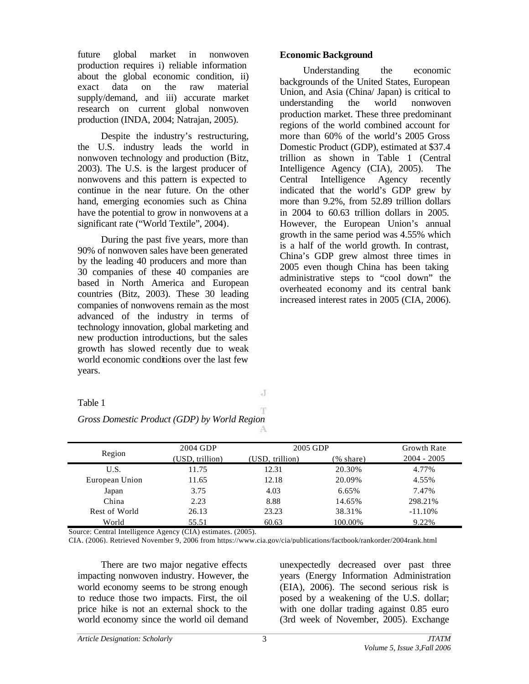future global market in nonwoven production requires i) reliable information about the global economic condition, ii) exact data on the raw material supply/demand, and iii) accurate market research on current global nonwoven production (INDA, 2004; Natrajan, 2005).

Despite the industry's restructuring, the U.S. industry leads the world in nonwoven technology and production (Bitz, 2003). The U.S. is the largest producer of nonwovens and this pattern is expected to continue in the near future. On the other hand, emerging economies such as China have the potential to grow in nonwovens at a significant rate ("World Textile", 2004).

During the past five years, more than 90% of nonwoven sales have been generated by the leading 40 producers and more than 30 companies of these 40 companies are based in North America and European countries (Bitz, 2003). These 30 leading companies of nonwovens remain as the most advanced of the industry in terms of technology innovation, global marketing and new production introductions, but the sales growth has slowed recently due to weak world economic conditions over the last few years.

#### **Economic Background**

Understanding the economic backgrounds of the United States, European Union, and Asia (China/ Japan) is critical to understanding the world nonwoven production market. These three predominant regions of the world combined account for more than 60% of the world's 2005 Gross Domestic Product (GDP), estimated at \$37.4 trillion as shown in Table 1 (Central Intelligence Agency (CIA), 2005). The Central Intelligence Agency recently indicated that the world's GDP grew by more than 9.2%, from 52.89 trillion dollars in 2004 to 60.63 trillion dollars in 2005. However, the European Union's annual growth in the same period was 4.55% which is a half of the world growth. In contrast, China's GDP grew almost three times in 2005 even though China has been taking administrative steps to "cool down" the overheated economy and its central bank increased interest rates in 2005 (CIA, 2006).

Table 1

J

| 2004 GDP        |                 |           | <b>Growth Rate</b> |
|-----------------|-----------------|-----------|--------------------|
| (USD, trillion) | (USD, trillion) | (% share) | $2004 - 2005$      |
| 11.75           | 12.31           | 20.30%    | 4.77%              |
| 11.65           | 12.18           | 20.09%    | 4.55%              |
| 3.75            | 4.03            | 6.65%     | 7.47%              |
| 2.23            | 8.88            | 14.65%    | 298.21%            |
| 26.13           | 23.23           | 38.31%    | $-11.10\%$         |
|                 |                 |           | 2005 GDP           |

*Gross Domestic Product (GDP) by World Region*

Source: Central Intelligence Agency (CIA) estimates. (2005).

CIA. (2006). Retrieved November 9, 2006 from https://www.cia.gov/cia/publications/factbook/rankorder/2004rank.html

World 55.51 60.63 100.00% 9.22%

There are two major negative effects impacting nonwoven industry. However, the world economy seems to be strong enough to reduce those two impacts. First, the oil price hike is not an external shock to the world economy since the world oil demand

unexpectedly decreased over past three years (Energy Information Administration (EIA), 2006). The second serious risk is posed by a weakening of the U.S. dollar; with one dollar trading against 0.85 euro (3rd week of November, 2005). Exchange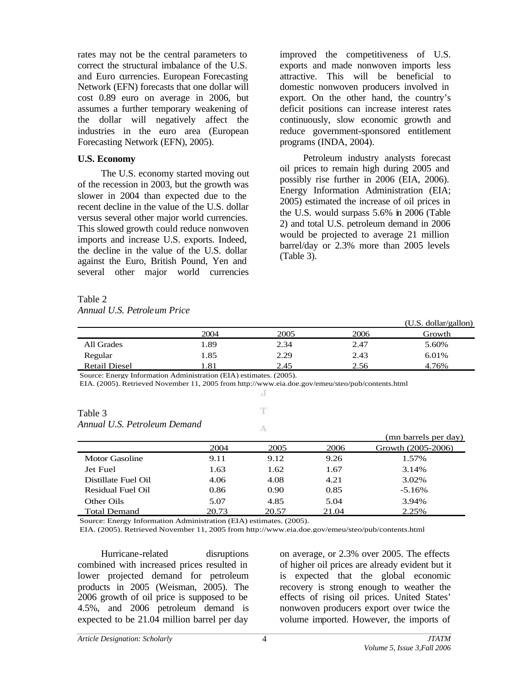rates may not be the central parameters to correct the structural imbalance of the U.S. and Euro currencies. European Forecasting Network (EFN) forecasts that one dollar will cost 0.89 euro on average in 2006, but assumes a further temporary weakening of the dollar will negatively affect the industries in the euro area (European Forecasting Network (EFN), 2005).

### **U.S. Economy**

The U.S. economy started moving out of the recession in 2003, but the growth was slower in 2004 than expected due to the recent decline in the value of the U.S. dollar versus several other major world currencies. This slowed growth could reduce nonwoven imports and increase U.S. exports. Indeed, the decline in the value of the U.S. dollar against the Euro, British Pound, Yen and several other major world currencies

improved the competitiveness of U.S. exports and made nonwoven imports less attractive. This will be beneficial to domestic nonwoven producers involved in export. On the other hand, the country's deficit positions can increase interest rates continuously, slow economic growth and reduce government-sponsored entitlement programs (INDA, 2004).

Petroleum industry analysts forecast oil prices to remain high during 2005 and possibly rise further in 2006 (EIA, 2006). Energy Information Administration (EIA; 2005) estimated the increase of oil prices in the U.S. would surpass 5.6% in 2006 (Table 2) and total U.S. petroleum demand in 2006 would be projected to average 21 million barrel/day or 2.3% more than 2005 levels (Table 3).

Table 2 *Annual U.S. Petroleum Price*

|                      |      |      |      | (U.S. dollar/gallon) |
|----------------------|------|------|------|----------------------|
|                      | 2004 | 2005 | 2006 | Growth               |
| All Grades           | 1.89 | 2.34 | 2.47 | 5.60%                |
| Regular              | 1.85 | 2.29 | 2.43 | 6.01%                |
| <b>Retail Diesel</b> | .81  | 2.45 | 2.56 | 4.76%                |

 $\cdot$ T T.

A

Source: Energy Information Administration (EIA) estimates. (2005).

EIA. (2005). Retrieved November 11, 2005 from http://www.eia.doe.gov/emeu/steo/pub/contents.html

| Table 3                      |  |
|------------------------------|--|
| Annual U.S. Petroleum Demand |  |

|                       |       |       |       | (mn barrels per day) |
|-----------------------|-------|-------|-------|----------------------|
|                       | 2004  | 2005  | 2006  | Growth (2005-2006)   |
| <b>Motor Gasoline</b> | 9.11  | 9.12  | 9.26  | 1.57%                |
| Jet Fuel              | 1.63  | 1.62  | 1.67  | 3.14%                |
| Distillate Fuel Oil   | 4.06  | 4.08  | 4.21  | 3.02%                |
| Residual Fuel Oil     | 0.86  | 0.90  | 0.85  | $-5.16%$             |
| Other Oils            | 5.07  | 4.85  | 5.04  | 3.94%                |
| <b>Total Demand</b>   | 20.73 | 20.57 | 21.04 | 2.25%                |

Source: Energy Information Administration (EIA) estimates. (2005).

EIA. (2005). Retrieved November 11, 2005 from http://www.eia.doe.gov/emeu/steo/pub/contents.html

Hurricane-related disruptions combined with increased prices resulted in lower projected demand for petroleum products in 2005 (Weisman, 2005). The 2006 growth of oil price is supposed to be 4.5%, and 2006 petroleum demand is expected to be 21.04 million barrel per day

on average, or 2.3% over 2005. The effects of higher oil prices are already evident but it is expected that the global economic recovery is strong enough to weather the effects of rising oil prices. United States' nonwoven producers export over twice the volume imported. However, the imports of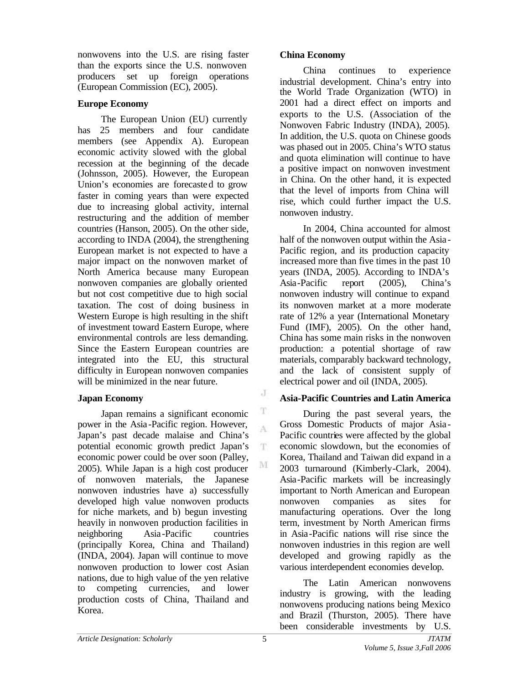nonwovens into the U.S. are rising faster than the exports since the U.S. nonwoven producers set up foreign operations (European Commission (EC), 2005).

# **Europe Economy**

The European Union (EU) currently has 25 members and four candidate members (see Appendix A). European economic activity slowed with the global recession at the beginning of the decade (Johnsson, 2005). However, the European Union's economies are forecasted to grow faster in coming years than were expected due to increasing global activity, internal restructuring and the addition of member countries (Hanson, 2005). On the other side, according to INDA (2004), the strengthening European market is not expected to have a major impact on the nonwoven market of North America because many European nonwoven companies are globally oriented but not cost competitive due to high social taxation. The cost of doing business in Western Europe is high resulting in the shift of investment toward Eastern Europe, where environmental controls are less demanding. Since the Eastern European countries are integrated into the EU, this structural difficulty in European nonwoven companies will be minimized in the near future.

# **Japan Economy**

Japan remains a significant economic power in the Asia-Pacific region. However, Japan's past decade malaise and China's potential economic growth predict Japan's economic power could be over soon (Palley, 2005). While Japan is a high cost producer of nonwoven materials, the Japanese nonwoven industries have a) successfully developed high value nonwoven products for niche markets, and b) begun investing heavily in nonwoven production facilities in neighboring Asia -Pacific countries (principally Korea, China and Thailand) (INDA, 2004). Japan will continue to move nonwoven production to lower cost Asian nations, due to high value of the yen relative to competing currencies, and lower production costs of China, Thailand and Korea.

# **China Economy**

China continues to experience industrial development. China's entry into the World Trade Organization (WTO) in 2001 had a direct effect on imports and exports to the U.S. (Association of the Nonwoven Fabric Industry (INDA), 2005). In addition, the U.S. quota on Chinese goods was phased out in 2005. China's WTO status and quota elimination will continue to have a positive impact on nonwoven investment in China. On the other hand, it is expected that the level of imports from China will rise, which could further impact the U.S. nonwoven industry.

In 2004, China accounted for almost half of the nonwoven output within the Asia -Pacific region, and its production capacity increased more than five times in the past 10 years (INDA, 2005). According to INDA's Asia-Pacific report (2005), China's nonwoven industry will continue to expand its nonwoven market at a more moderate rate of 12% a year (International Monetary Fund (IMF), 2005). On the other hand, China has some main risks in the nonwoven production: a potential shortage of raw materials, comparably backward technology, and the lack of consistent supply of electrical power and oil (INDA, 2005).

# **Asia-Pacific Countries and Latin America**

During the past several years, the Gross Domestic Products of major Asia - Pacific countries were affected by the global economic slowdown, but the economies of Korea, Thailand and Taiwan did expand in a 2003 turnaround (Kimberly-Clark, 2004). Asia-Pacific markets will be increasingly important to North American and European nonwoven companies as sites for manufacturing operations. Over the long term, investment by North American firms in Asia-Pacific nations will rise since the nonwoven industries in this region are well developed and growing rapidly as the various interdependent economies develop.

The Latin American nonwovens industry is growing, with the leading nonwovens producing nations being Mexico and Brazil (Thurston, 2005). There have been considerable investments by U.S.

J

 $\mathbf T$ A

 $\mathbf T$ 

M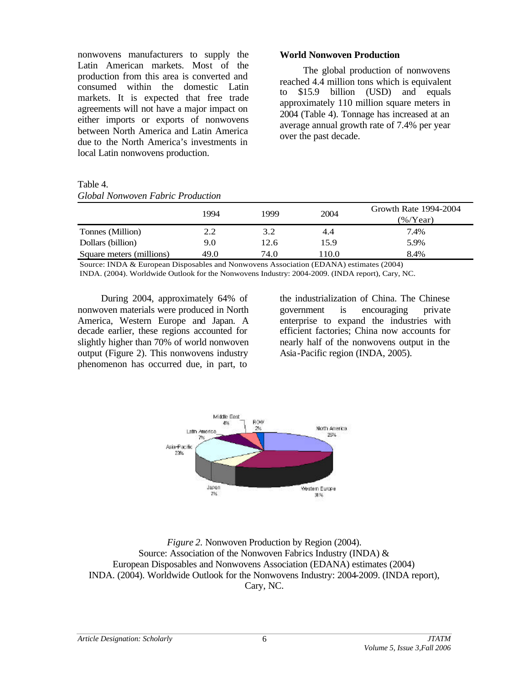nonwovens manufacturers to supply the Latin American markets. Most of the production from this area is converted and consumed within the domestic Latin markets. It is expected that free trade agreements will not have a major impact on either imports or exports of nonwovens between North America and Latin America due to the North America's investments in local Latin nonwovens production.

Table 4.

#### *Global Nonwoven Fabric Production*

#### **World Nonwoven Production**

The global production of nonwovens reached 4.4 million tons which is equivalent to \$15.9 billion (USD) and equals approximately 110 million square meters in 2004 (Table 4). Tonnage has increased at an average annual growth rate of 7.4% per year over the past decade.

|                          | 1994 | 1999 | 2004  | Growth Rate 1994-2004<br>$(\%$ /Year) |  |  |
|--------------------------|------|------|-------|---------------------------------------|--|--|
| Tonnes (Million)         | 2.2  | 3.2  | 4.4   | 7.4%                                  |  |  |
| Dollars (billion)        | 9.0  | 12.6 | 15.9  | 5.9%                                  |  |  |
| Square meters (millions) | 49.0 | 74.0 | 110.0 | 8.4%                                  |  |  |

Source: INDA & European Disposables and Nonwovens Association (EDANA) estimates (2004) INDA. (2004). Worldwide Outlook for the Nonwovens Industry: 2004-2009. (INDA report), Cary, NC.

During 2004, approximately 64% of nonwoven materials were produced in North America, Western Europe and Japan. A decade earlier, these regions accounted for slightly higher than 70% of world nonwoven output (Figure 2). This nonwovens industry phenomenon has occurred due, in part, to

the industrialization of China. The Chinese government is encouraging private enterprise to expand the industries with efficient factories; China now accounts for nearly half of the nonwovens output in the Asia-Pacific region (INDA, 2005).



*Figure 2.* Nonwoven Production by Region (2004). Source: Association of the Nonwoven Fabrics Industry (INDA) & European Disposables and Nonwovens Association (EDANA) estimates (2004) INDA. (2004). Worldwide Outlook for the Nonwovens Industry: 2004-2009. (INDA report), Cary, NC.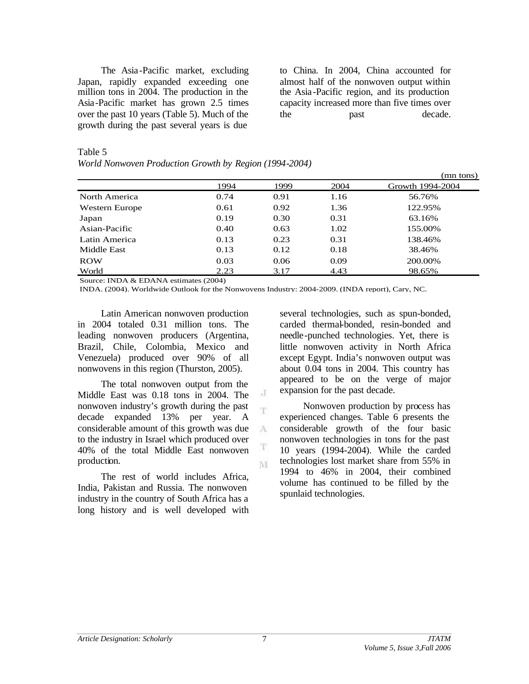The Asia-Pacific market, excluding Japan, rapidly expanded exceeding one million tons in 2004. The production in the Asia-Pacific market has grown 2.5 times over the past 10 years (Table 5). Much of the growth during the past several years is due

to China. In 2004, China accounted for almost half of the nonwoven output within the Asia-Pacific region, and its production capacity increased more than five times over the past decade.

### Table 5

| World Nonwoven Production Growth by Region (1994-2004) |  |  |
|--------------------------------------------------------|--|--|
|                                                        |  |  |

|                |      |      |      | (mn tons)        |
|----------------|------|------|------|------------------|
|                | 1994 | 1999 | 2004 | Growth 1994-2004 |
| North America  | 0.74 | 0.91 | 1.16 | 56.76%           |
| Western Europe | 0.61 | 0.92 | 1.36 | 122.95%          |
| Japan          | 0.19 | 0.30 | 0.31 | 63.16%           |
| Asian-Pacific  | 0.40 | 0.63 | 1.02 | 155.00%          |
| Latin America  | 0.13 | 0.23 | 0.31 | 138.46%          |
| Middle East    | 0.13 | 0.12 | 0.18 | 38.46%           |
| <b>ROW</b>     | 0.03 | 0.06 | 0.09 | 200.00%          |
| World          | 2.23 | 3.17 | 4.43 | 98.65%           |

Source: INDA & EDANA estimates (2004)

INDA. (2004). Worldwide Outlook for the Nonwovens Industry: 2004-2009. (INDA report), Cary, NC.

J T

A

T M

Latin American nonwoven production in 2004 totaled 0.31 million tons. The leading nonwoven producers (Argentina, Brazil, Chile, Colombia, Mexico and Venezuela) produced over 90% of all nonwovens in this region (Thurston, 2005).

The total nonwoven output from the Middle East was 0.18 tons in 2004. The nonwoven industry's growth during the past decade expanded 13% per year. A considerable amount of this growth was due to the industry in Israel which produced over 40% of the total Middle East nonwoven production.

The rest of world includes Africa, India, Pakistan and Russia. The nonwoven industry in the country of South Africa has a long history and is well developed with several technologies, such as spun-bonded, carded thermal-bonded, resin-bonded and needle-punched technologies. Yet, there is little nonwoven activity in North Africa except Egypt. India's nonwoven output was about 0.04 tons in 2004. This country has appeared to be on the verge of major expansion for the past decade.

Nonwoven production by process has experienced changes. Table 6 presents the considerable growth of the four basic nonwoven technologies in tons for the past 10 years (1994-2004). While the carded technologies lost market share from 55% in 1994 to 46% in 2004, their combined volume has continued to be filled by the spunlaid technologies.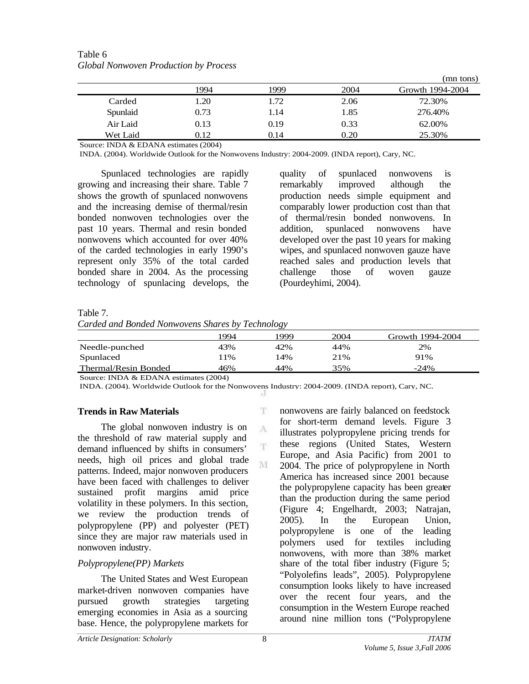|          |      |      |      | (mn tons)        |
|----------|------|------|------|------------------|
|          | 1994 | 1999 | 2004 | Growth 1994-2004 |
| Carded   | 1.20 | 1.72 | 2.06 | 72.30%           |
| Spunlaid | 0.73 | 1.14 | 1.85 | 276.40%          |
| Air Laid | 0.13 | 0.19 | 0.33 | 62.00%           |
| Wet Laid | 0.12 | 0.14 | 0.20 | 25.30%           |

Table 6 *Global Nonwoven Production by Process*

Source: INDA & EDANA estimates (2004)

INDA. (2004). Worldwide Outlook for the Nonwovens Industry: 2004-2009. (INDA report), Cary, NC.

Spunlaced technologies are rapidly growing and increasing their share. Table 7 shows the growth of spunlaced nonwovens and the increasing demise of thermal/resin bonded nonwoven technologies over the past 10 years. Thermal and resin bonded nonwovens which accounted for over 40% of the carded technologies in early 1990's represent only 35% of the total carded bonded share in 2004. As the processing technology of spunlacing develops, the quality of spunlaced nonwovens is remarkably improved although the production needs simple equipment and comparably lower production cost than that of thermal/resin bonded nonwovens. In addition, spunlaced nonwovens have developed over the past 10 years for making wipes, and spunlaced nonwoven gauze have reached sales and production levels that challenge those of woven gauze (Pourdeyhimi, 2004).

#### Table 7.

*Carded and Bonded Nonwovens Shares by Technology*

|                      |      | $\sim$ |      |                  |
|----------------------|------|--------|------|------------------|
|                      | 1994 | 999    | 2004 | Growth 1994-2004 |
| Needle-punched       | 43%  | 42%    | 44%  | 2%               |
| Spunlaced            | 1%   | 14%    | 21%  | 91%              |
| Thermal/Resin Bonded | 46%  | 44%    | 35%  | $-24%$           |

Source: INDA & EDANA estimates (2004)

INDA. (2004). Worldwide Outlook for the Nonwovens Industry: 2004-2009. (INDA report), Cary, NC.

T.

A T.

M

### **Trends in Raw Materials**

The global nonwoven industry is on the threshold of raw material supply and demand influenced by shifts in consumers' needs, high oil prices and global trade patterns. Indeed, major nonwoven producers have been faced with challenges to deliver sustained profit margins amid price volatility in these polymers. In this section, we review the production trends of polypropylene (PP) and polyester (PET) since they are major raw materials used in nonwoven industry.

## *Polypropylene(PP) Markets*

The United States and West European market-driven nonwoven companies have pursued growth strategies targeting emerging economies in Asia as a sourcing base. Hence, the polypropylene markets for nonwovens are fairly balanced on feedstock for short-term demand levels. Figure 3 illustrates polypropylene pricing trends for these regions (United States, Western Europe, and Asia Pacific) from 2001 to 2004. The price of polypropylene in North America has increased since 2001 because the polypropylene capacity has been greater than the production during the same period (Figure 4; Engelhardt, 2003; Natrajan, 2005). In the European Union, polypropylene is one of the leading polymers used for textiles including nonwovens, with more than 38% market share of the total fiber industry (Figure 5; "Polyolefins leads", 2005). Polypropylene consumption looks likely to have increased over the recent four years, and the consumption in the Western Europe reached around nine million tons ("Polypropylene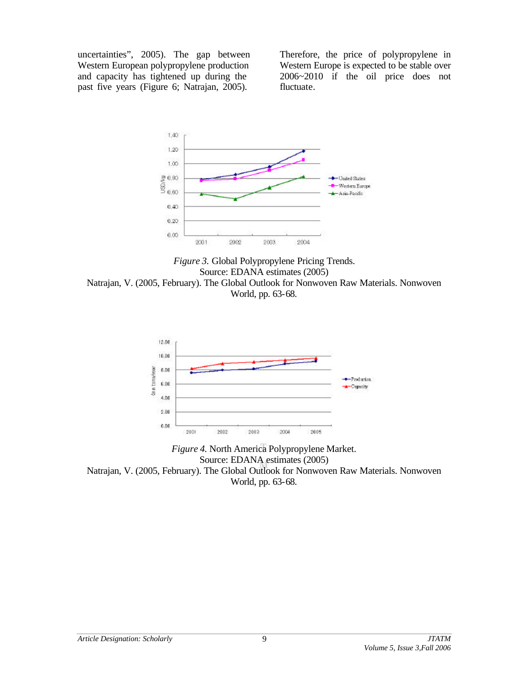uncertainties", 2005). The gap between Western European polypropylene production and capacity has tightened up during the past five years (Figure 6; Natrajan, 2005).

Therefore, the price of polypropylene in Western Europe is expected to be stable over 2006~2010 if the oil price does not fluctuate.



*Figure 3.* Global Polypropylene Pricing Trends. Source: EDANA estimates (2005) Natrajan, V. (2005, February). The Global Outlook for Nonwoven Raw Materials. Nonwoven World, pp. 63-68.



*Figure 4.* North America Polypropylene Market. Source: EDANA estimates (2005) Natrajan, V. (2005, February). The Global Outlook for Nonwoven Raw Materials. Nonwoven World, pp. 63-68.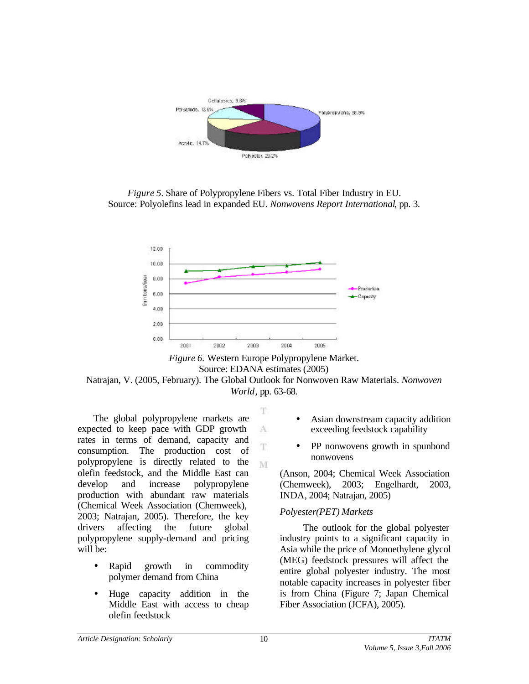

*Figure 5.* Share of Polypropylene Fibers vs. Total Fiber Industry in EU. Source: Polyolefins lead in expanded EU. *Nonwovens Report International*, pp. 3.



*Figure 6.* Western Europe Polypropylene Market. Source: EDANA estimates (2005) Natrajan, V. (2005, February). The Global Outlook for Nonwoven Raw Materials. *Nonwoven World*, pp. 63-68.

T

A

T M

The global polypropylene markets are expected to keep pace with GDP growth rates in terms of demand, capacity and consumption. The production cost of polypropylene is directly related to the olefin feedstock, and the Middle East can develop and increase polypropylene production with abundant raw materials (Chemical Week Association (Chemweek), 2003; Natrajan, 2005). Therefore, the key drivers affecting the future global polypropylene supply-demand and pricing will be:

- Rapid growth in commodity polymer demand from China
- Huge capacity addition in the Middle East with access to cheap olefin feedstock
- Asian downstream capacity addition exceeding feedstock capability
- PP nonwovens growth in spunbond nonwovens

(Anson, 2004; Chemical Week Association (Chemweek), 2003; Engelhardt, 2003, INDA, 2004; Natrajan, 2005)

### *Polyester(PET) Markets*

The outlook for the global polyester industry points to a significant capacity in Asia while the price of Monoethylene glycol (MEG) feedstock pressures will affect the entire global polyester industry. The most notable capacity increases in polyester fiber is from China (Figure 7; Japan Chemical Fiber Association (JCFA), 2005).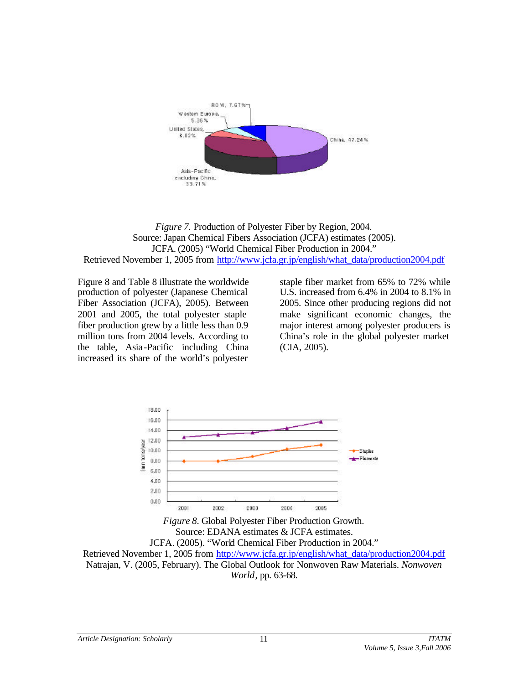

*Figure 7.* Production of Polyester Fiber by Region, 2004. Source: Japan Chemical Fibers Association (JCFA) estimates (2005). JCFA. (2005) "World Chemical Fiber Production in 2004." Retrieved November 1, 2005 from http://www.jcfa.gr.jp/english/what\_data/production2004.pdf

Figure 8 and Table 8 illustrate the worldwide production of polyester (Japanese Chemical Fiber Association (JCFA), 2005). Between 2001 and 2005, the total polyester staple fiber production grew by a little less than 0.9 million tons from 2004 levels. According to the table, Asia -Pacific including China increased its share of the world's polyester

staple fiber market from 65% to 72% while U.S. increased from 6.4% in 2004 to 8.1% in 2005. Since other producing regions did not make significant economic changes, the major interest among polyester producers is China's role in the global polyester market (CIA, 2005).



*Figure 8.* Global Polyester Fiber Production Growth. Source: EDANA estimates & JCFA estimates. JCFA. (2005). "World Chemical Fiber Production in 2004." Retrieved November 1, 2005 from http://www.jcfa.gr.jp/english/what\_data/production2004.pdf Natrajan, V. (2005, February). The Global Outlook for Nonwoven Raw Materials. *Nonwoven World*, pp. 63-68.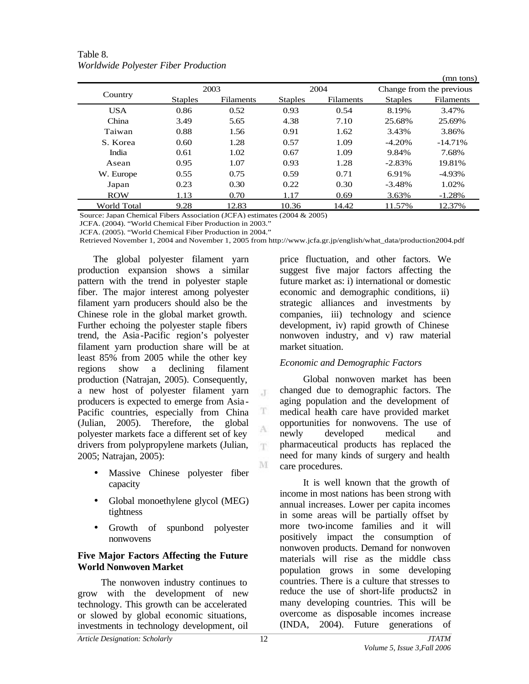| Table 8.                             |
|--------------------------------------|
| Worldwide Polyester Fiber Production |

|             |                |                  |                |                  |                | (mn tons)                |
|-------------|----------------|------------------|----------------|------------------|----------------|--------------------------|
|             |                | 2003             |                | 2004             |                | Change from the previous |
| Country     | <b>Staples</b> | <b>Filaments</b> | <b>Staples</b> | <b>Filaments</b> | <b>Staples</b> | Filaments                |
| <b>USA</b>  | 0.86           | 0.52             | 0.93           | 0.54             | 8.19%          | 3.47%                    |
| China       | 3.49           | 5.65             | 4.38           | 7.10             | 25.68%         | 25.69%                   |
| Taiwan      | 0.88           | 1.56             | 0.91           | 1.62             | 3.43%          | 3.86%                    |
| S. Korea    | 0.60           | 1.28             | 0.57           | 1.09             | $-4.20%$       | $-14.71\%$               |
| India       | 0.61           | 1.02             | 0.67           | 1.09             | 9.84%          | 7.68%                    |
| Asean       | 0.95           | 1.07             | 0.93           | 1.28             | $-2.83%$       | 19.81%                   |
| W. Europe   | 0.55           | 0.75             | 0.59           | 0.71             | 6.91%          | $-4.93\%$                |
| Japan       | 0.23           | 0.30             | 0.22           | 0.30             | $-3.48%$       | 1.02%                    |
| <b>ROW</b>  | 1.13           | 0.70             | 1.17           | 0.69             | 3.63%          | $-1.28%$                 |
| World Total | 9.28           | 12.83            | 10.36          | 14.42            | 11.57%         | 12.37%                   |

Source: Japan Chemical Fibers Association (JCFA) estimates (2004 & 2005)

JCFA. (2004). "World Chemical Fiber Production in 2003."

JCFA. (2005). "World Chemical Fiber Production in 2004."

Retrieved November 1, 2004 and November 1, 2005 from http://www.jcfa.gr.jp/english/what\_data/production2004.pdf

 $\mathcal{X}$ 

T A T.

M

The global polyester filament yarn production expansion shows a similar pattern with the trend in polyester staple fiber. The major interest among polyester filament yarn producers should also be the Chinese role in the global market growth. Further echoing the polyester staple fibers trend, the Asia-Pacific region's polyester filament yarn production share will be at least 85% from 2005 while the other key regions show a declining filament production (Natrajan, 2005). Consequently, a new host of polyester filament yarn producers is expected to emerge from Asia - Pacific countries, especially from China (Julian, 2005). Therefore, the global polyester markets face a different set of key drivers from polypropylene markets (Julian, 2005; Natrajan, 2005):

- Massive Chinese polyester fiber capacity
- Global monoethylene glycol (MEG) tightness
- Growth of spunbond polyester nonwovens

### **Five Major Factors Affecting the Future World Nonwoven Market**

The nonwoven industry continues to grow with the development of new technology. This growth can be accelerated or slowed by global economic situations, investments in technology development, oil

price fluctuation, and other factors. We suggest five major factors affecting the future market as: i) international or domestic economic and demographic conditions, ii) strategic alliances and investments by companies, iii) technology and science development, iv) rapid growth of Chinese nonwoven industry, and v) raw material market situation.

## *Economic and Demographic Factors*

Global nonwoven market has been changed due to demographic factors. The aging population and the development of medical health care have provided market opportunities for nonwovens. The use of newly developed medical and pharmaceutical products has replaced the need for many kinds of surgery and health care procedures.

It is well known that the growth of income in most nations has been strong with annual increases. Lower per capita incomes in some areas will be partially offset by more two-income families and it will positively impact the consumption of nonwoven products. Demand for nonwoven materials will rise as the middle class population grows in some developing countries. There is a culture that stresses to reduce the use of short-life products2 in many developing countries. This will be overcome as disposable incomes increase (INDA, 2004). Future generations of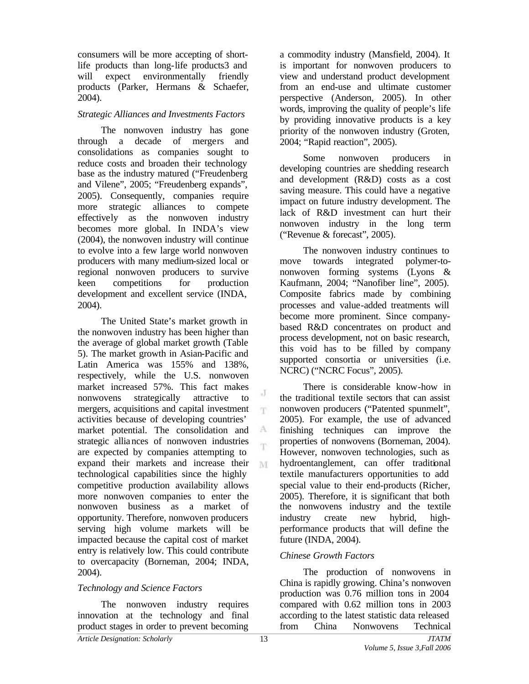consumers will be more accepting of shortlife products than long-life products3 and will expect environmentally friendly products (Parker, Hermans & Schaefer, 2004).

## *Strategic Alliances and Investments Factors*

The nonwoven industry has gone through a decade of mergers and consolidations as companies sought to reduce costs and broaden their technology base as the industry matured ("Freudenberg and Vilene", 2005; "Freudenberg expands", 2005). Consequently, companies require more strategic alliances to compete effectively as the nonwoven industry becomes more global. In INDA's view (2004), the nonwoven industry will continue to evolve into a few large world nonwoven producers with many medium-sized local or regional nonwoven producers to survive keen competitions for production development and excellent service (INDA, 2004).

The United State's market growth in the nonwoven industry has been higher than the average of global market growth (Table 5). The market growth in Asian-Pacific and Latin America was 155% and 138%, respectively, while the U.S. nonwoven market increased 57%. This fact makes nonwovens strategically attractive to mergers, acquisitions and capital investment activities because of developing countries' market potential. The consolidation and strategic alliances of nonwoven industries are expected by companies attempting to expand their markets and increase their M technological capabilities since the highly competitive production availability allows more nonwoven companies to enter the nonwoven business as a market of opportunity. Therefore, nonwoven producers serving high volume markets will be impacted because the capital cost of market entry is relatively low. This could contribute to overcapacity (Borneman, 2004; INDA, 2004).

## *Technology and Science Factors*

The nonwoven industry requires innovation at the technology and final product stages in order to prevent becoming

a commodity industry (Mansfield, 2004). It is important for nonwoven producers to view and understand product development from an end-use and ultimate customer perspective (Anderson, 2005). In other words, improving the quality of people's life by providing innovative products is a key priority of the nonwoven industry (Groten, 2004; "Rapid reaction", 2005).

Some nonwoven producers in developing countries are shedding research and development (R&D) costs as a cost saving measure. This could have a negative impact on future industry development. The lack of R&D investment can hurt their nonwoven industry in the long term ("Revenue & forecast", 2005).

The nonwoven industry continues to move towards integrated polymer-tononwoven forming systems (Lyons & Kaufmann, 2004; "Nanofiber line", 2005). Composite fabrics made by combining processes and value-added treatments will become more prominent. Since companybased R&D concentrates on product and process development, not on basic research, this void has to be filled by company supported consortia or universities (i.e. NCRC) ("NCRC Focus", 2005).

There is considerable know-how in the traditional textile sectors that can assist nonwoven producers ("Patented spunmelt", 2005). For example, the use of advanced finishing techniques can improve the properties of nonwovens (Borneman, 2004). However, nonwoven technologies, such as hydroentanglement, can offer traditional textile manufacturers opportunities to add special value to their end-products (Richer, 2005). Therefore, it is significant that both the nonwovens industry and the textile industry create new hybrid, highperformance products that will define the future (INDA, 2004).

## *Chinese Growth Factors*

The production of nonwovens in China is rapidly growing. China's nonwoven production was 0.76 million tons in 2004 compared with 0.62 million tons in 2003 according to the latest statistic data released from China Nonwovens Technical

J  $\mathbf{T}$ 

A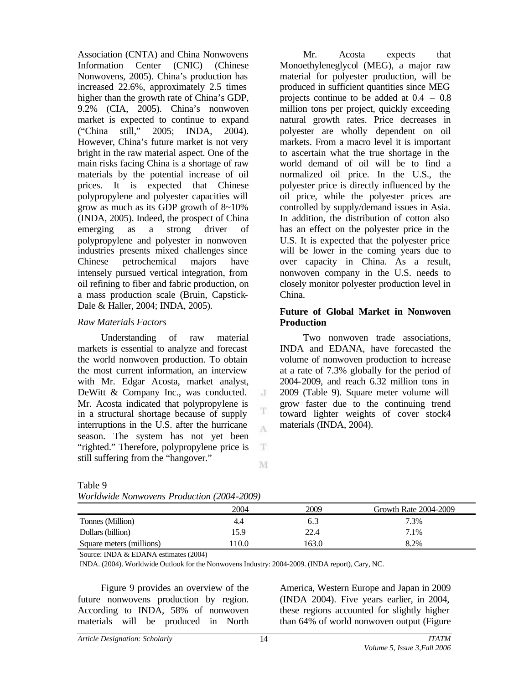Association (CNTA) and China Nonwovens Information Center (CNIC) (Chinese Nonwovens, 2005). China's production has increased 22.6%, approximately 2.5 times higher than the growth rate of China's GDP, 9.2% (CIA, 2005). China's nonwoven market is expected to continue to expand ("China still," 2005; INDA, 2004). However, China's future market is not very bright in the raw material aspect. One of the main risks facing China is a shortage of raw materials by the potential increase of oil prices. It is expected that Chinese polypropylene and polyester capacities will grow as much as its GDP growth of 8~10% (INDA, 2005). Indeed, the prospect of China emerging as a strong driver of polypropylene and polyester in nonwoven industries presents mixed challenges since Chinese petrochemical majors have intensely pursued vertical integration, from oil refining to fiber and fabric production, on a mass production scale (Bruin, Capstick-Dale & Haller, 2004; INDA, 2005).

## *Raw Materials Factors*

Understanding of raw material markets is essential to analyze and forecast the world nonwoven production. To obtain the most current information, an interview with Mr. Edgar Acosta, market analyst, DeWitt & Company Inc., was conducted. Mr. Acosta indicated that polypropylene is in a structural shortage because of supply interruptions in the U.S. after the hurricane season. The system has not yet been "righted." Therefore, polypropylene price is still suffering from the "hangover."

Mr. Acosta expects that Monoethyleneglycol (MEG), a major raw material for polyester production, will be produced in sufficient quantities since MEG projects continue to be added at 0.4 – 0.8 million tons per project, quickly exceeding natural growth rates. Price decreases in polyester are wholly dependent on oil markets. From a macro level it is important to ascertain what the true shortage in the world demand of oil will be to find a normalized oil price. In the U.S., the polyester price is directly influenced by the oil price, while the polyester prices are controlled by supply/demand issues in Asia. In addition, the distribution of cotton also has an effect on the polyester price in the U.S. It is expected that the polyester price will be lower in the coming years due to over capacity in China. As a result, nonwoven company in the U.S. needs to closely monitor polyester production level in China.

### **Future of Global Market in Nonwoven Production**

Two nonwoven trade associations, INDA and EDANA, have forecasted the volume of nonwoven production to increase at a rate of 7.3% globally for the period of 2004-2009, and reach 6.32 million tons in 2009 (Table 9). Square meter volume will grow faster due to the continuing trend toward lighter weights of cover stock4 materials (INDA, 2004).

## Table 9

|  |  |  |  | Worldwide Nonwovens Production (2004-2009) |
|--|--|--|--|--------------------------------------------|
|--|--|--|--|--------------------------------------------|

|                          | 2004 | 2009  | Growth Rate 2004-2009 |
|--------------------------|------|-------|-----------------------|
| Tonnes (Million)         | 4.4  | 6.3   | 7.3%                  |
| Dollars (billion)        | 15.9 | 22.4  | 7.1%                  |
| Square meters (millions) | 10.0 | 163.0 | 8.2%                  |

 $\cdot$ T

T A

 $_{\rm T}$ 

M

Source: INDA & EDANA estimates (2004)

INDA. (2004). Worldwide Outlook for the Nonwovens Industry: 2004-2009. (INDA report), Cary, NC.

Figure 9 provides an overview of the future nonwovens production by region. According to INDA, 58% of nonwoven materials will be produced in North

America, Western Europe and Japan in 2009 (INDA 2004). Five years earlier, in 2004, these regions accounted for slightly higher than 64% of world nonwoven output (Figure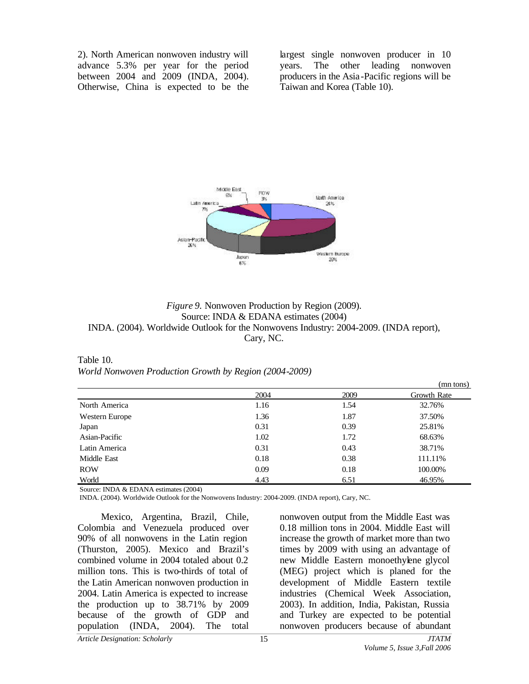2). North American nonwoven industry will advance 5.3% per year for the period between 2004 and 2009 (INDA, 2004). Otherwise, China is expected to be the largest single nonwoven producer in 10 years. The other leading nonwoven producers in the Asia -Pacific regions will be Taiwan and Korea (Table 10).



# *Figure 9.* Nonwoven Production by Region (2009). Source: INDA & EDANA estimates (2004) INDA. (2004). Worldwide Outlook for the Nonwovens Industry: 2004-2009. (INDA report), Cary, NC.

Table 10. *World Nonwoven Production Growth by Region (2004-2009)*

|                |      |      | (mn tons)   |
|----------------|------|------|-------------|
|                | 2004 | 2009 | Growth Rate |
| North America  | 1.16 | 1.54 | 32.76%      |
| Western Europe | 1.36 | 1.87 | 37.50%      |
| Japan          | 0.31 | 0.39 | 25.81%      |
| Asian-Pacific  | 1.02 | 1.72 | 68.63%      |
| Latin America  | 0.31 | 0.43 | 38.71%      |
| Middle East    | 0.18 | 0.38 | 111.11%     |
| <b>ROW</b>     | 0.09 | 0.18 | 100.00%     |
| World          | 4.43 | 6.51 | 46.95%      |

Source: INDA & EDANA estimates (2004)

INDA. (2004). Worldwide Outlook for the Nonwovens Industry: 2004-2009. (INDA report), Cary, NC.

Mexico, Argentina, Brazil, Chile, Colombia and Venezuela produced over 90% of all nonwovens in the Latin region (Thurston, 2005). Mexico and Brazil's combined volume in 2004 totaled about 0.2 million tons. This is two-thirds of total of the Latin American nonwoven production in 2004. Latin America is expected to increase the production up to 38.71% by 2009 because of the growth of GDP and population (INDA, 2004). The total nonwoven output from the Middle East was 0.18 million tons in 2004. Middle East will increase the growth of market more than two times by 2009 with using an advantage of new Middle Eastern monoethylene glycol (MEG) project which is planed for the development of Middle Eastern textile industries (Chemical Week Association, 2003). In addition, India, Pakistan, Russia and Turkey are expected to be potential nonwoven producers because of abundant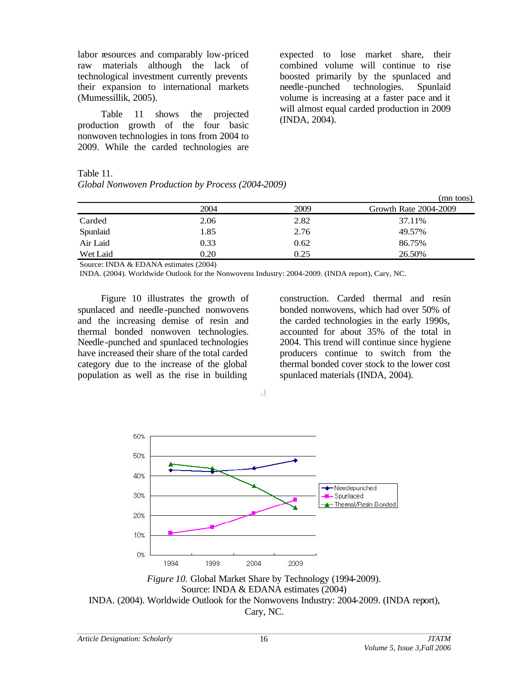labor resources and comparably low-priced raw materials although the lack of technological investment currently prevents their expansion to international markets (Mumessillik, 2005).

Table 11 shows the projected production growth of the four basic nonwoven technologies in tons from 2004 to 2009. While the carded technologies are

expected to lose market share, their combined volume will continue to rise boosted primarily by the spunlaced and needle-punched technologies. Spunlaid volume is increasing at a faster pace and it will almost equal carded production in 2009 (INDA, 2004).

Table 11.

| Global Nonwoven Production by Process (2004-2009) |  |  |
|---------------------------------------------------|--|--|
|                                                   |  |  |

|          |      |      | (mn tons)             |
|----------|------|------|-----------------------|
|          | 2004 | 2009 | Growth Rate 2004-2009 |
| Carded   | 2.06 | 2.82 | 37.11%                |
| Spunlaid | 1.85 | 2.76 | 49.57%                |
| Air Laid | 0.33 | 0.62 | 86.75%                |
| Wet Laid | 0.20 | 0.25 | 26.50%                |

Source: INDA & EDANA estimates (2004)

INDA. (2004). Worldwide Outlook for the Nonwovens Industry: 2004-2009. (INDA report), Cary, NC.

Figure 10 illustrates the growth of spunlaced and needle -punched nonwovens and the increasing demise of resin and thermal bonded nonwoven technologies. Needle-punched and spunlaced technologies have increased their share of the total carded category due to the increase of the global population as well as the rise in building

construction. Carded thermal and resin bonded nonwovens, which had over 50% of the carded technologies in the early 1990s, accounted for about 35% of the total in 2004. This trend will continue since hygiene producers continue to switch from the thermal bonded cover stock to the lower cost spunlaced materials (INDA, 2004).



J

*Figure 10.* Global Market Share by Technology (1994-2009). Source: INDA & EDANA estimates (2004) INDA. (2004). Worldwide Outlook for the Nonwovens Industry: 2004-2009. (INDA report), Cary, NC.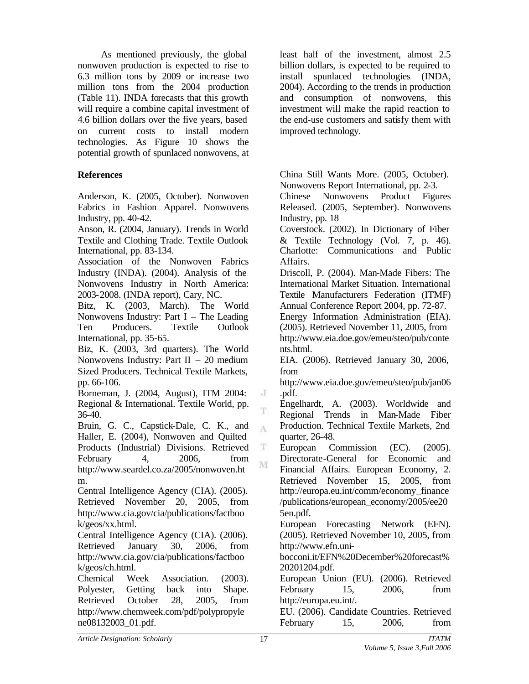As mentioned previously, the global nonwoven production is expected to rise to 6.3 million tons by 2009 or increase two million tons from the 2004 production (Table 11). INDA forecasts that this growth will require a combine capital investment of 4.6 billion dollars over the five years, based on current costs to install modern technologies. As Figure 10 shows the potential growth of spunlaced nonwovens, at

# **References**

Anderson, K. (2005, October). Nonwoven Fabrics in Fashion Apparel. Nonwovens Industry, pp. 40-42.

Anson, R. (2004, January). Trends in World Textile and Clothing Trade. Textile Outlook International, pp. 83-134.

Association of the Nonwoven Fabrics Industry (INDA). (2004). Analysis of the Nonwovens Industry in North America: 2003-2008. (INDA report), Cary, NC.

Bitz, K. (2003, March). The World Nonwovens Industry: Part I – The Leading Ten Producers. Textile Outlook International, pp. 35-65.

Biz, K. (2003, 3rd quarters). The World Nonwovens Industry: Part II – 20 medium Sized Producers. Technical Textile Markets, pp. 66-106.

Borneman, J. (2004, August), ITM 2004: Regional & International. Textile World, pp. 36-40.

Bruin, G. C., Capstick-Dale, C. K., and Haller, E. (2004), Nonwoven and Quilted Products (Industrial) Divisions. Retrieved February 4, 2006, from http://www.seardel.co.za/2005/nonwoven.ht m.

Central Intelligence Agency (CIA). (2005). Retrieved November 20, 2005, from http://www.cia.gov/cia/publications/factboo k/geos/xx.html.

Central Intelligence Agency (CIA). (2006). Retrieved January 30, 2006, from http://www.cia.gov/cia/publications/factboo k/geos/ch.html.

Chemical Week Association. (2003). Polyester, Getting back into Shape. Retrieved October 28, 2005, from http://www.chemweek.com/pdf/polypropyle ne08132003\_01.pdf.

least half of the investment, almost 2.5 billion dollars, is expected to be required to install spunlaced technologies (INDA, 2004). According to the trends in production and consumption of nonwovens, this investment will make the rapid reaction to the end-use customers and satisfy them with improved technology.

China Still Wants More. (2005, October). Nonwovens Report International, pp. 2-3.

Chinese Nonwovens Product Figures Released. (2005, September). Nonwovens Industry, pp. 18

Coverstock. (2002). In Dictionary of Fiber & Textile Technology (Vol. 7, p. 46). Charlotte: Communications and Public Affairs.

Driscoll, P. (2004). Man-Made Fibers: The International Market Situation. International Textile Manufacturers Federation (ITMF) Annual Conference Report 2004, pp. 72-87.

Energy Information Administration (EIA). (2005). Retrieved November 11, 2005, from http://www.eia.doe.gov/emeu/steo/pub/conte nts.html.

EIA. (2006). Retrieved January 30, 2006, from

http://www.eia.doe.gov/emeu/steo/pub/jan06 .pdf.

Engelhardt, A. (2003). Worldwide and Regional Trends in Man-Made Fiber Production. Technical Textile Markets, 2nd quarter, 26-48.

European Commission (EC). (2005). Directorate-General for Economic and Financial Affairs. European Economy, 2. Retrieved November 15, 2005, from http://europa.eu.int/comm/economy\_finance /publications/european\_economy/2005/ee20 5en.pdf.

European Forecasting Network (EFN). (2005). Retrieved November 10, 2005, from http://www.efn.uni-

bocconi.it/EFN%20December%20forecast% 20201204.pdf.

European Union (EU). (2006). Retrieved February 15, 2006, from http://europa.eu.int/.

EU. (2006). Candidate Countries. Retrieved February 15, 2006, from

J T.

A

T M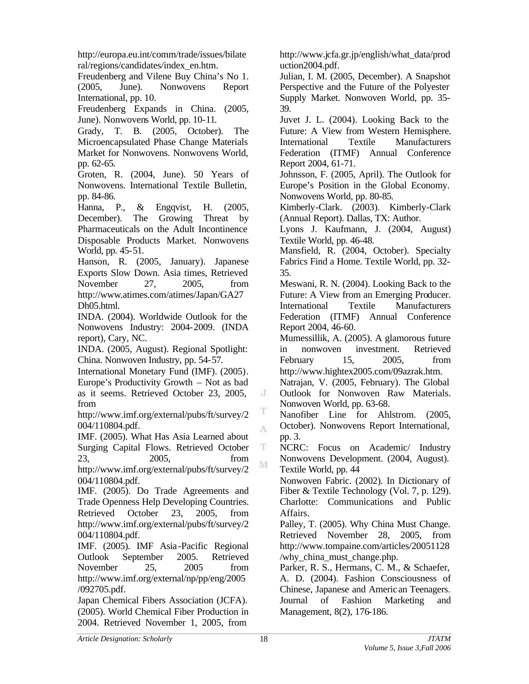http://europa.eu.int/comm/trade/issues/bilate ral/regions/candidates/index\_en.htm.

Freudenberg and Vilene Buy China's No 1. (2005, June). Nonwovens Report International, pp. 10.

Freudenberg Expands in China. (2005, June). Nonwovens World, pp. 10-11.

Grady, T. B. (2005, October). The Microencapsulated Phase Change Materials Market for Nonwovens. Nonwovens World, pp. 62-65.

Groten, R. (2004, June). 50 Years of Nonwovens. International Textile Bulletin, pp. 84-86.

Hanna, P., & Engqvist, H. (2005, December). The Growing Threat by Pharmaceuticals on the Adult Incontinence Disposable Products Market. Nonwovens World, pp. 45-51.

Hanson, R. (2005, January). Japanese Exports Slow Down. Asia times, Retrieved November 27, 2005, from http://www.atimes.com/atimes/Japan/GA27 Dh05.html.

INDA. (2004). Worldwide Outlook for the Nonwovens Industry: 2004-2009. (INDA report), Cary, NC.

INDA. (2005, August). Regional Spotlight: China. Nonwoven Industry, pp. 54-57.

International Monetary Fund (IMF). (2005). Europe's Productivity Growth – Not as bad as it seems. Retrieved October 23, 2005, from

http://www.imf.org/external/pubs/ft/survey/2 004/110804.pdf.

IMF. (2005). What Has Asia Learned about Surging Capital Flows. Retrieved October 23, 2005, from

http://www.imf.org/external/pubs/ft/survey/2 004/110804.pdf.

IMF. (2005). Do Trade Agreements and Trade Openness Help Developing Countries. Retrieved October 23, 2005, from http://www.imf.org/external/pubs/ft/survey/2 004/110804.pdf.

IMF. (2005). IMF Asia -Pacific Regional Outlook September 2005. Retrieved November 25, 2005 from http://www.imf.org/external/np/pp/eng/2005 /092705.pdf.

Japan Chemical Fibers Association (JCFA). (2005). World Chemical Fiber Production in 2004. Retrieved November 1, 2005, from

http://www.jcfa.gr.jp/english/what\_data/prod uction2004.pdf.

Julian, I. M. (2005, December). A Snapshot Perspective and the Future of the Polyester Supply Market. Nonwoven World, pp. 35- 39.

Juvet J. L. (2004). Looking Back to the Future: A View from Western Hemisphere. International Textile Manufacturers Federation (ITMF) Annual Conference Report 2004, 61-71.

Johnsson, F. (2005, April). The Outlook for Europe's Position in the Global Economy. Nonwovens World, pp. 80-85.

Kimberly-Clark. (2003). Kimberly-Clark (Annual Report). Dallas, TX: Author.

Lyons J. Kaufmann, J. (2004, August) Textile World, pp. 46-48.

Mansfield, R. (2004, October). Specialty Fabrics Find a Home. Textile World, pp. 32- 35.

Meswani, R. N. (2004). Looking Back to the Future: A View from an Emerging Producer. International Textile Manufacturers Federation (ITMF) Annual Conference Report 2004, 46-60.

Mumessillik, A. (2005). A glamorous future in nonwoven investment. Retrieved February 15, 2005, from http://www.hightex2005.com/09azrak.htm.

Natrajan, V. (2005, February). The Global Outlook for Nonwoven Raw Materials. Nonwoven World, pp. 63-68.

Nanofiber Line for Ahlstrom. (2005, October). Nonwovens Report International, pp. 3.

NCRC: Focus on Academic/ Industry Nonwovens Development. (2004, August). Textile World, pp. 44

Nonwoven Fabric. (2002). In Dictionary of Fiber & Textile Technology (Vol. 7, p. 129). Charlotte: Communications and Public Affairs.

Palley, T. (2005). Why China Must Change. Retrieved November 28, 2005, from http://www.tompaine.com/articles/20051128 /why china must change.php.

Parker, R. S., Hermans, C. M., & Schaefer, A. D. (2004). Fashion Consciousness of Chinese, Japanese and Americ an Teenagers. Journal of Fashion Marketing and Management, 8(2), 176-186.

J

T A

 $_{\rm T}$ M